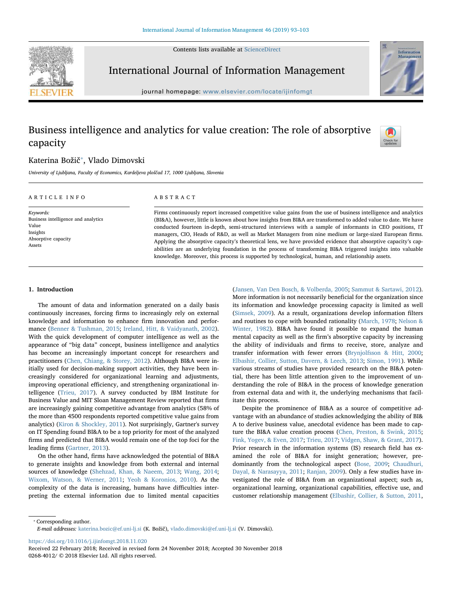Contents lists available at [ScienceDirect](http://www.sciencedirect.com/science/journal/02684012)



International Journal of Information Management

journal homepage: [www.elsevier.com/locate/ijinfomgt](https://www.elsevier.com/locate/ijinfomgt)

# Business intelligence and analytics for value creation: The role of absorptive capacity



# Katerina Božič [⁎](#page-0-0) , Vlado Dimovski

University of Ljubljana, Faculty of Economics, Kardeljeva ploščad 17, 1000 Ljubljana, Slovenia

| ARTICLE INFO                                                                                           | ABSTRACT                                                                                                                                                                                                                                                                                                                                                                                                                                                                                                                                                                                                                                                                                                                                                                                     |
|--------------------------------------------------------------------------------------------------------|----------------------------------------------------------------------------------------------------------------------------------------------------------------------------------------------------------------------------------------------------------------------------------------------------------------------------------------------------------------------------------------------------------------------------------------------------------------------------------------------------------------------------------------------------------------------------------------------------------------------------------------------------------------------------------------------------------------------------------------------------------------------------------------------|
| Keywords:<br>Business intelligence and analytics<br>Value<br>Insights<br>Absorptive capacity<br>Assets | Firms continuously report increased competitive value gains from the use of business intelligence and analytics<br>(BI&A), however, little is known about how insights from BI&A are transformed to added value to date. We have<br>conducted fourteen in-depth, semi-structured interviews with a sample of informants in CEO positions, IT<br>managers, CIO, Heads of R&D, as well as Market Managers from nine medium or large-sized European firms.<br>Applying the absorptive capacity's theoretical lens, we have provided evidence that absorptive capacity's cap-<br>abilities are an underlying foundation in the process of transforming BI&A triggered insights into valuable<br>knowledge. Moreover, this process is supported by technological, human, and relationship assets. |

# 1. Introduction

The amount of data and information generated on a daily basis continuously increases, forcing firms to increasingly rely on external knowledge and information to enhance firm innovation and performance [\(Benner & Tushman, 2015;](#page-8-0) [Ireland, Hitt, & Vaidyanath, 2002](#page-9-0)). With the quick development of computer intelligence as well as the appearance of "big data" concept, business intelligence and analytics has become an increasingly important concept for researchers and practitioners [\(Chen, Chiang, & Storey, 2012\)](#page-9-1). Although BI&A were initially used for decision-making support activities, they have been increasingly considered for organizational learning and adjustments, improving operational efficiency, and strengthening organizational intelligence [\(Trieu, 2017\)](#page-10-0). A survey conducted by IBM Institute for Business Value and MIT Sloan Management Review reported that firms are increasingly gaining competitive advantage from analytics (58% of the more than 4500 respondents reported competitive value gains from analytics) [\(Kiron & Shockley, 2011\)](#page-9-2). Not surprisingly, Gartner's survey on IT Spending found BI&A to be a top priority for most of the analyzed firms and predicted that BI&A would remain one of the top foci for the leading firms ([Gartner, 2013\)](#page-9-3).

On the other hand, firms have acknowledged the potential of BI&A to generate insights and knowledge from both external and internal sources of knowledge ([Shehzad, Khan, & Naeem, 2013](#page-10-1); [Wang, 2014](#page-10-2); [Wixom, Watson, & Werner, 2011;](#page-10-3) [Yeoh & Koronios, 2010](#page-10-4)). As the complexity of the data is increasing, humans have difficulties interpreting the external information due to limited mental capacities ([Jansen, Van Den Bosch, & Volberda, 2005;](#page-9-4) [Sammut & Sartawi, 2012](#page-10-5)).

More information is not necessarily beneficial for the organization since its information and knowledge processing capacity is limited as well ([Simsek, 2009\)](#page-10-6). As a result, organizations develop information filters and routines to cope with bounded rationality ([March, 1978;](#page-9-5) [Nelson &](#page-10-7) [Winter, 1982](#page-10-7)). BI&A have found it possible to expand the human mental capacity as well as the firm's absorptive capacity by increasing the ability of individuals and firms to receive, store, analyze and transfer information with fewer errors [\(Brynjolfsson & Hitt, 2000](#page-8-1); [Elbashir, Collier, Sutton, Davern, & Leech, 2013;](#page-9-6) [Simon, 1991\)](#page-10-8). While various streams of studies have provided research on the BI&A potential, there has been little attention given to the improvement of understanding the role of BI&A in the process of knowledge generation from external data and with it, the underlying mechanisms that facilitate this process.

Despite the prominence of BI&A as a source of competitive advantage with an abundance of studies acknowledging the ability of BI& A to derive business value, anecdotal evidence has been made to capture the BI&A value creation process [\(Chen, Preston, & Swink, 2015](#page-9-7); [Fink, Yogev, & Even, 2017;](#page-9-8) [Trieu, 2017](#page-10-0); [Vidgen, Shaw, & Grant, 2017](#page-10-9)). Prior research in the information systems (IS) research field has examined the role of BI&A for insight generation; however, predominantly from the technological aspect [\(Bose, 2009](#page-8-2); [Chaudhuri,](#page-9-9) [Dayal, & Narasayya, 2011;](#page-9-9) [Ranjan, 2009\)](#page-10-10). Only a few studies have investigated the role of BI&A from an organizational aspect; such as, organizational learning, organizational capabilities, effective use, and customer relationship management [\(Elbashir, Collier, & Sutton, 2011](#page-9-10),

<span id="page-0-0"></span>⁎ Corresponding author.

<https://doi.org/10.1016/j.ijinfomgt.2018.11.020>

E-mail addresses: [katerina.bozic@ef.uni-lj.si](mailto:katerina.bozic@ef.uni-lj.si) (K. Božič), [vlado.dimovski@ef.uni-lj.si](mailto:vlado.dimovski@ef.uni-lj.si) (V. Dimovski).

Received 22 February 2018; Received in revised form 24 November 2018; Accepted 30 November 2018 0268-4012/ © 2018 Elsevier Ltd. All rights reserved.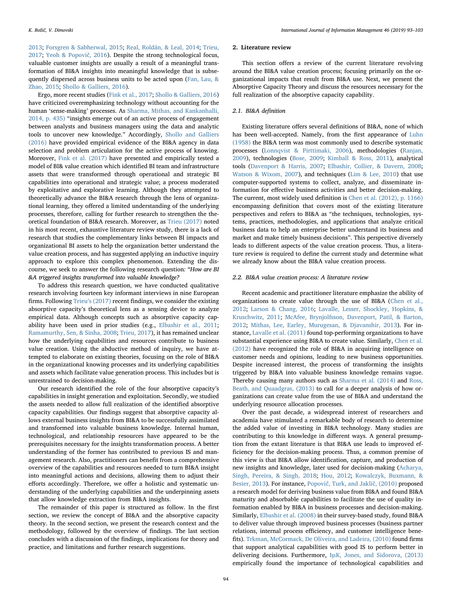[2013;](#page-9-6) [Forsgren & Sabherwal, 2015;](#page-9-11) [Real, Roldán, & Leal, 2014;](#page-10-11) [Trieu,](#page-10-0) [2017;](#page-10-0) [Yeoh & Popovi](#page-10-12)č, 2016). Despite the strong technological focus, valuable customer insights are usually a result of a meaningful transformation of BI&A insights into meaningful knowledge that is subsequently dispersed across business units to be acted upon [\(Fan, Lau, &](#page-9-12) [Zhao, 2015](#page-9-12); [Shollo & Galliers, 2016\)](#page-10-13).

Ergo, more recent studies ([Fink et al., 2017;](#page-9-8) [Shollo & Galliers, 2016\)](#page-10-13) have criticized overemphasizing technology without accounting for the human 'sense-making' processes. As [Sharma, Mithas, and Kankanhalli,](#page-10-14) [2014, p. 435\)](#page-10-14) "insights emerge out of an active process of engagement between analysts and business managers using the data and analytic tools to uncover new knowledge." Accordingly, [Shollo and Galliers](#page-10-13) [\(2016\)](#page-10-13) have provided empirical evidence of the BI&A agency in data selection and problem articulation for the active process of knowing. Moreover, [Fink et al. \(2017\)](#page-9-8) have presented and empirically tested a model of BI& value creation which identified BI team and infrastructure assets that were transformed through operational and strategic BI capabilities into operational and strategic value; a process moderated by exploitative and explorative learning. Although they attempted to theoretically advance the BI&A research through the lens of organizational learning, they offered a limited understanding of the underlying processes, therefore, calling for further research to strengthen the theoretical foundation of BI&A research. Moreover, as [Trieu \(2017\)](#page-10-0) noted in his most recent, exhaustive literature review study, there is a lack of research that studies the complementary links between BI impacts and organizational BI assets to help the organization better understand the value creation process, and has suggested applying an inductive inquiry approach to explore this complex phenomenon. Extending the discourse, we seek to answer the following research question: "How are BI &A triggered insights transformed into valuable knowledge?

To address this research question, we have conducted qualitative research involving fourteen key informant interviews in nine European firms. Following Trieu'[s \(2017\)](#page-10-0) recent findings, we consider the existing absorptive capacity's theoretical lens as a sensing device to analyze empirical data. Although concepts such as absorptive capacity capability have been used in prior studies (e.g., [Elbashir et al., 2011](#page-9-10); [Ramamurthy, Sen, & Sinha, 2008](#page-10-15); [Trieu, 2017](#page-10-0)), it has remained unclear how the underlying capabilities and resources contribute to business value creation. Using the abductive method of inquiry, we have attempted to elaborate on existing theories, focusing on the role of BI&A in the organizational knowing processes and its underlying capabilities and assets which facilitate value generation process. This includes but is unrestrained to decision-making.

Our research identified the role of the four absorptive capacity's capabilities in insight generation and exploitation. Secondly, we studied the assets needed to allow full realization of the identified absorptive capacity capabilities. Our findings suggest that absorptive capacity allows external business insights from BI&A to be successfully assimilated and transformed into valuable business knowledge. Internal human, technological, and relationship resources have appeared to be the prerequisites necessary for the insights transformation process. A better understanding of the former has contributed to previous IS and management research. Also, practitioners can benefit from a comprehensive overview of the capabilities and resources needed to turn BI&A insight into meaningful actions and decisions, allowing them to adjust their efforts accordingly. Therefore, we offer a holistic and systematic understanding of the underlying capabilities and the underpinning assets that allow knowledge extraction from BI&A insights.

The remainder of this paper is structured as follow. In the first section, we review the concept of BI&A and the absorptive capacity theory. In the second section, we present the research context and the methodology, followed by the overview of findings. The last section concludes with a discussion of the findings, implications for theory and practice, and limitations and further research suggestions.

### 2. Literature review

This section offers a review of the current literature revolving around the BI&A value creation process; focusing primarily on the organizational impacts that result from BI&A use. Next, we present the Absorptive Capacity Theory and discuss the resources necessary for the full realization of the absorptive capacity capability.

# 2.1. BI&A definition

Existing literature offers several definitions of BI&A, none of which has been well-accepted. Namely, from the first appearance of [Luhn](#page-9-13) [\(1958\)](#page-9-13) the BI&A term was most commonly used to describe systematic processes [\(Lonnqvist & Pirttimaki, 2006](#page-9-14)), methodologies ([Ranjan,](#page-10-10) [2009\)](#page-10-10), technologies [\(Bose, 2009;](#page-8-2) [Kimball & Ross, 2011\)](#page-9-15), analytical tools [\(Davenport & Harris, 2007](#page-9-16); [Elbashir, Collier, & Davern, 2008](#page-9-17); [Watson & Wixom, 2007](#page-10-16)), and techniques ([Lim & Lee, 2010\)](#page-9-18) that use computer-supported systems to collect, analyze, and disseminate information for effective business activities and better decision-making. The current, most widely used definition is [Chen et al. \(2012\), p. 1166\)](#page-9-1) encompassing definition that covers most of the existing literature perspectives and refers to BI&A as "the techniques, technologies, systems, practices, methodologies, and applications that analyze critical business data to help an enterprise better understand its business and market and make timely business decisions". This perspective diversely leads to different aspects of the value creation process. Thus, a literature review is required to define the current study and determine what we already know about the BI&A value creation process.

# 2.2. BI&A value creation process: A literature review

Recent academic and practitioner literature emphasize the ability of organizations to create value through the use of BI&A ([Chen et al.,](#page-9-1) [2012;](#page-9-1) [Larson & Chang, 2016;](#page-9-19) [Lavalle, Lesser, Shockley, Hopkins, &](#page-9-20) [Kruschwitz, 2011;](#page-9-20) [McAfee, Brynjolfsson, Davenport, Patil, & Barton,](#page-9-21) [2012;](#page-9-21) [Mithas, Lee, Earley, Murugesan, & Djavanshir, 2013\)](#page-9-22). For instance, [Lavalle et al. \(2011\)](#page-9-20) found top-performing organizations to have substantial experience using BI&A to create value. Similarly, [Chen et al.](#page-9-1) [\(2012\)](#page-9-1) have recognized the role of BI&A in acquiring intelligence on customer needs and opinions, leading to new business opportunities. Despite increased interest, the process of transforming the insights triggered by BI&A into valuable business knowledge remains vague. Thereby causing many authors such as [Sharma et al. \(2014\)](#page-10-14) and [Ross,](#page-10-17) [Beath, and Quaadgras, \(2013\)](#page-10-17) to call for a deeper analysis of how organizations can create value from the use of BI&A and understand the underlying resource allocation processes.

Over the past decade, a widespread interest of researchers and academia have stimulated a remarkable body of research to determine the added value of investing in BI&A technology. Many studies are contributing to this knowledge in different ways. A general presumption from the extant literature is that BI&A use leads to improved efficiency for the decision-making process. Thus, a common premise of this view is that BI&A allow identification, capture, and production of new insights and knowledge, later used for decision-making [\(Acharya,](#page-8-3) [Singh, Pereira, & Singh, 2018](#page-8-3); [Hou, 2012](#page-9-23); [Kowalczyk, Buxmann, &](#page-9-24) [Besier, 2013](#page-9-24)). For instance, Popovič[, Turk, and Jakli](#page-10-18)č, (2010) proposed a research model for deriving business value from BI&A and found BI&A maturity and absorbable capabilities to facilitate the use of quality information enabled by BI&A in business processes and decision-making. Similarly, [Elbashir et al. \(2008\)](#page-9-17) in their survey-based study, found BI&A to deliver value through improved business processes (business partner relations, internal process efficiency, and customer intelligence benefits). [Trkman, McCormack, De Oliveira, and Ladeira, \(2010\)](#page-10-19) found firms that support analytical capabilities with good IS to perform better in delivering decisions. Furthermore, Işı[K, Jones, and Sidorova, \(2013\)](#page-9-25) empirically found the importance of technological capabilities and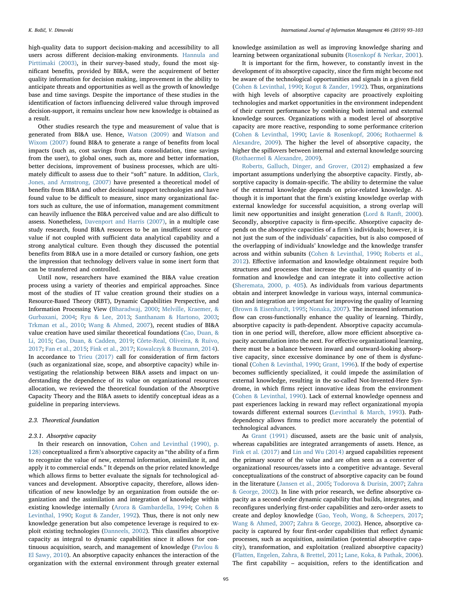high-quality data to support decision-making and accessibility to all users across different decision-making environments. [Hannula and](#page-9-26) [Pirttimaki \(2003\)](#page-9-26), in their survey-based study, found the most significant benefits, provided by BI&A, were the acquirement of better quality information for decision making, improvement in the ability to anticipate threats and opportunities as well as the growth of knowledge base and time savings. Despite the importance of these studies in the identification of factors influencing delivered value through improved decision-support, it remains unclear how new knowledge is obtained as a result.

Other studies research the type and measurement of value that is generated from BI&A use. Hence, [Watson \(2009\)](#page-10-20) and [Watson and](#page-10-16) [Wixom \(2007\)](#page-10-16) found BI&A to generate a range of benefits from local impacts (such as, cost savings from data consolidation, time savings from the user), to global ones, such as, more and better information, better decisions, improvement of business processes, which are ultimately difficult to assess due to their "soft" nature. In addition, [Clark,](#page-9-27) [Jones, and Armstrong, \(2007\)](#page-9-27) have presented a theoretical model of benefits from BI&A and other decisional support technologies and have found value to be difficult to measure, since many organizational factors such as culture, the use of information, management commitment can heavily influence the BI&A perceived value and are also difficult to assess. Nonetheless, [Davenport and Harris \(2007\),](#page-9-16) in a multiple case study research, found BI&A resources to be an insufficient source of value if not coupled with sufficient data analytical capability and a strong analytical culture. Even though they discussed the potential benefits from BI&A use in a more detailed or cursory fashion, one gets the impression that technology delivers value in some inert form that can be transferred and controlled.

Until now, researchers have examined the BI&A value creation process using a variety of theories and empirical approaches. Since most of the studies of IT value creation ground their studies on a Resource-Based Theory (RBT), Dynamic Capabilities Perspective, and Information Processing View [\(Bharadwaj, 2000](#page-8-4); [Melville, Kraemer, &](#page-9-28) [Gurbaxani, 2004](#page-9-28); [Ryu & Lee, 2013;](#page-10-21) [Santhanam & Hartono, 2003](#page-10-22); [Trkman et al., 2010;](#page-10-19) [Wang & Ahmed, 2007](#page-10-23)), recent studies of BI&A value creation have used similar theoretical foundations ([Cao, Duan, &](#page-9-29) [Li, 2015;](#page-9-29) [Cao, Duan, & Cadden, 2019](#page-8-5); [Côrte-Real, Oliveira, & Ruivo,](#page-9-30) [2017;](#page-9-30) [Fan et al., 2015](#page-9-12); [Fink et al., 2017;](#page-9-8) [Kowalczyk & Buxmann, 2014](#page-9-31)). In accordance to [Trieu \(2017\)](#page-10-0) call for consideration of firm factors (such as organizational size, scope, and absorptive capacity) while investigating the relationship between BI&A assets and impact on understanding the dependence of its value on organizational resources allocation, we reviewed the theoretical foundation of the Absorptive Capacity Theory and the BI&A assets to identify conceptual ideas as a guideline in preparing interviews.

# 2.3. Theoretical foundation

# 2.3.1. Absorptive capacity

In their research on innovation, [Cohen and Levinthal \(1990\), p.](#page-9-32) [128\)](#page-9-32) conceptualized a firm's absorptive capacity as "the ability of a firm to recognize the value of new, external information, assimilate it, and apply it to commercial ends." It depends on the prior related knowledge which allows firms to better evaluate the signals for technological advances and development. Absorptive capacity, therefore, allows identification of new knowledge by an organization from outside the organization and the assimilation and integration of knowledge within existing knowledge internally ([Arora & Gambardella, 1994;](#page-8-6) [Cohen &](#page-9-32) [Levinthal, 1990;](#page-9-32) [Kogut & Zander, 1992\)](#page-9-33). Thus, there is not only new knowledge generation but also competence leverage is required to exploit existing technologies [\(Danneels, 2002](#page-9-34)). This classifies absorptive capacity as integral to dynamic capabilities since it allows for continuous acquisition, search, and management of knowledge [\(Pavlou &](#page-10-24) [El Sawy, 2010](#page-10-24)). An absorptive capacity enhances the interaction of the organization with the external environment through greater external

knowledge assimilation as well as improving knowledge sharing and learning between organizational subunits [\(Rosenkopf & Nerkar, 2001](#page-10-25)).

It is important for the firm, however, to constantly invest in the development of its absorptive capacity, since the firm might become not be aware of the technological opportunities and signals in a given field ([Cohen & Levinthal, 1990;](#page-9-32) [Kogut & Zander, 1992\)](#page-9-33). Thus, organizations with high levels of absorptive capacity are proactively exploiting technologies and market opportunities in the environment independent of their current performance by combining both internal and external knowledge sources. Organizations with a modest level of absorptive capacity are more reactive, responding to some performance criterion ([Cohen & Levinthal, 1990](#page-9-32); [Lavie & Rosenkopf, 2006](#page-9-35); [Rothaermel &](#page-10-26) [Alexandre, 2009\)](#page-10-26). The higher the level of absorptive capacity, the higher the spillovers between internal and external knowledge sourcing ([Rothaermel & Alexandre, 2009](#page-10-26)).

[Roberts, Galluch, Dinger, and Grover, \(2012\)](#page-10-27) emphasized a few important assumptions underlying the absorptive capacity. Firstly, absorptive capacity is domain-specific. The ability to determine the value of the external knowledge depends on prior-related knowledge. Although it is important that the firm's existing knowledge overlap with external knowledge for successful acquisition, a strong overlap will limit new opportunities and insight generation ([Lord & Ranft, 2000](#page-9-36)). Secondly, absorptive capacity is firm-specific. Absorptive capacity depends on the absorptive capacities of a firm's individuals; however, it is not just the sum of the individuals' capacities, but is also composed of the overlapping of individuals' knowledge and the knowledge transfer across and within subunits ([Cohen & Levinthal, 1990](#page-9-32); [Roberts et al.,](#page-10-27) [2012\)](#page-10-27). Effective information and knowledge obtainment require both structures and processes that increase the quality and quantity of information and knowledge and can integrate it into collective action ([Sheremata, 2000, p. 405](#page-10-28)). As individuals from various departments obtain and interpret knowledge in various ways, internal communication and integration are important for improving the quality of learning ([Brown & Eisenhardt, 1995](#page-8-7); [Nonaka, 2007](#page-10-29)). The increased information flow can cross-functionally enhance the quality of learning. Thirdly, absorptive capacity is path-dependent. Absorptive capacity accumulation in one period will, therefore, allow more efficient absorptive capacity accumulation into the next. For effective organizational learning, there must be a balance between inward and outward-looking absorptive capacity, since excessive dominance by one of them is dysfunctional [\(Cohen & Levinthal, 1990;](#page-9-32) [Grant, 1996\)](#page-9-37). If the body of expertise becomes sufficiently specialized, it could impede the assimilation of external knowledge, resulting in the so-called Not-Invented-Here Syndrome, in which firms reject innovative ideas from the environment ([Cohen & Levinthal, 1990\)](#page-9-32). Lack of external knowledge openness and past experiences lacking in reward may reflect organizational myopia towards different external sources ([Levinthal & March, 1993](#page-9-38)). Pathdependency allows firms to predict more accurately the potential of technological advances.

As [Grant \(1991\)](#page-9-39) discussed, assets are the basic unit of analysis, whereas capabilities are integrated arrangements of assets. Hence, as [Fink et al. \(2017\)](#page-9-8) and [Lin and Wu \(2014\)](#page-9-40) argued capabilities represent the primary source of the value and are often seen as a converter of organizational resources/assets into a competitive advantage. Several conceptualizations of the construct of absorptive capacity can be found in the literature [\(Jansen et al., 2005](#page-9-4); [Todorova & Durisin, 2007;](#page-10-30) [Zahra](#page-10-31) [& George, 2002\)](#page-10-31). In line with prior research, we define absorptive capacity as a second-order dynamic capability that builds, integrates, and reconfigures underlying first-order capabilities and zero-order assets to create and deploy knowledge [\(Gao, Yeoh, Wong, & Scheepers, 2017](#page-9-41); [Wang & Ahmed, 2007;](#page-10-23) [Zahra & George, 2002](#page-10-31)). Hence, absorptive capacity is captured by four first-order capabilities that reflect dynamic processes, such as acquisition, assimilation (potential absorptive capacity), transformation, and exploitation (realized absorptive capacity) ([Flatten, Engelen, Zahra, & Brettel, 2011;](#page-9-42) [Lane, Koka, & Pathak, 2006](#page-9-43)). The first capability – acquisition, refers to the identification and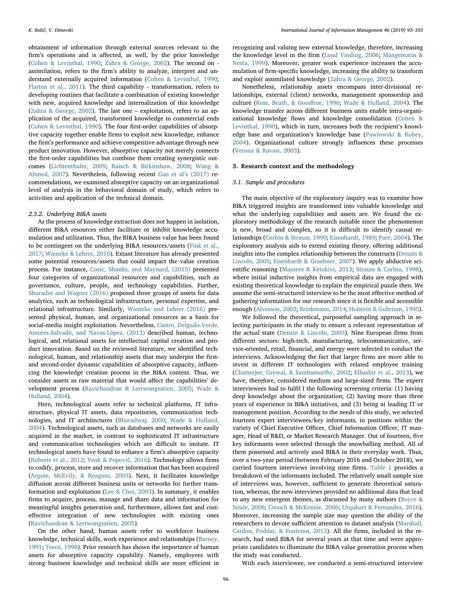obtainment of information through external sources relevant to the firm's operations and is affected, as well, by the prior knowledge ([Cohen & Levinthal, 1990](#page-9-32); [Zahra & George, 2002](#page-10-31)). The second on assimilation, refers to the firm's ability to analyze, interpret and understand externally acquired information ([Cohen & Levinthal, 1990](#page-9-32); [Flatten et al., 2011\)](#page-9-42). The third capability - transformation, refers to developing routines that facilitate a combination of existing knowledge with new, acquired knowledge and internalization of this knowledge ([Zahra & George, 2002](#page-10-31)). The last one – exploitation, refers to an application of the acquired, transformed knowledge to commercial ends ([Cohen & Levinthal, 1990](#page-9-32)). The four first-order capabilities of absorptive capacity together enable firms to exploit new knowledge, enhance the firm's performance and achieve competitive advantage through new product innovation. However, absorptive capacity not merely connects the first-order capabilities but combine them creating synergistic outcomes ([Lichtenthaler, 2009;](#page-9-44) [Raisch & Birkinshaw, 2008;](#page-10-32) [Wang &](#page-10-23) [Ahmed, 2007\)](#page-10-23). Nevertheless, following recent [Gao et al](#page-9-41)'s (2017) recommendations, we examined absorptive capacity on an organizational level of analysis in the behavioral domain of study, which refers to activities and application of the technical domain.

#### 2.3.2. Underlying BI&A assets

As the process of knowledge extraction does not happen in isolation, different BI&A resources either facilitate or inhibit knowledge accumulation and utilization. Thus, the BI&A business value has been found to be contingent on the underlying BI&A resources/assets ([Fink et al.,](#page-9-8) [2017;](#page-9-8) [Wieneke & Lehrer, 2016](#page-10-33)). Extant literature has already presented some potential resources/assets that could impact the value creation process. For instance, [Cosic, Shanks, and Maynard, \(2015\)](#page-9-45) presented four categories of organizational resources and capabilities, such as governance, culture, people, and technology capabilities. Further, [Shuradze and Wagner \(2016\)](#page-10-34) proposed three groups of assets for data analytics, such as technological infrastructure, personal expertise, and relational infrastructure. Similarly, [Wieneke and Lehrer \(2016\)](#page-10-33) presented physical, human, and organizational resources as a basis for social-media insight exploitation. Nevertheless, [Castro, Delgado-Verde,](#page-9-46) [Amores-Salvadó, and Navas-López, \(2013\)](#page-9-46) described human, technological, and relational assets for intellectual capital creation and product innovation. Based on the reviewed literature, we identified technological, human, and relationship assets that may underpin the firstand second-order dynamic capabilities of absorptive capacity, influencing the knowledge creation process in the BI&A context. Thus, we consider assets as raw material that would affect the capabilities' development process ([Ravichandran & Lertwongsatien, 2005;](#page-10-35) [Wade &](#page-10-36) [Hulland, 2004\)](#page-10-36).

Here, technological assets refer to technical platforms, IT infrastructure, physical IT assets, data repositories, communication technologies, and IT architectures [\(Bharadwaj, 2000;](#page-8-4) [Wade & Hulland,](#page-10-36) [2004\)](#page-10-36). Technological assets, such as databases and networks are easily acquired in the market, in contrast to sophisticated IT infrastructure and communication technologies which are difficult to imitate. IT technological assets have found to enhance a firm's absorptive capacity ([Roberts et al., 2012](#page-10-27); [Yeoh & Popovi](#page-10-12)č, 2016). Technology allows firms to codify, process, store and recover information that has been acquired ([Argote, McEvily, & Reagans, 2003\)](#page-8-8). Next, it facilitates knowledge diffusion across different business units or networks for further transformation and exploitation [\(Lee & Choi, 2003\)](#page-9-47). In summary, it enables firms to acquire, process, manage and share data and information for meaningful insights generation and, furthermore, allows fast and costeffective integration of new technologies with existing ones ([Ravichandran & Lertwongsatien, 2005](#page-10-35)).

On the other hand, human assets refer to workforce business knowledge, technical skills, work experience and relationships ([Barney,](#page-8-9) [1991;](#page-8-9) [Teece, 1998](#page-10-37)). Prior research has shown the importance of human assets for absorptive capacity capability. Namely, employees with strong business knowledge and technical skills are more efficient in

recognizing and valuing new external knowledge, therefore, increasing the knowledge level in the firm [\(Lund Vinding, 2006;](#page-9-48) [Mangematin &](#page-9-49) [Nesta, 1999\)](#page-9-49). Moreover, greater work experience increases the accumulation of firm-specific knowledge, increasing the ability to transform and exploit assimilated knowledge [\(Zahra & George, 2002](#page-10-31)).

Nonetheless, relationship assets encompass inter-divisional relationships, external (client) networks, management sponsorship and culture ([Ross, Beath, & Goodhue, 1996;](#page-10-38) [Wade & Hulland, 2004](#page-10-36)). The knowledge transfer across different business units enable intra-organizational knowledge flows and knowledge consolidation ([Cohen &](#page-9-32) [Levinthal, 1990\)](#page-9-32), which in turn, increases both the recipient's knowledge base and organization's knowledge base [\(Pawlowski & Robey,](#page-10-39) [2004\)](#page-10-39). Organizational culture strongly influences these processes ([Verona & Ravasi, 2003\)](#page-10-40).

# 3. Research context and the methodology

# 3.1. Sample and procedures

The main objective of the exploratory inquiry was to examine how BI&A triggered insights are transformed into valuable knowledge and what the underlying capabilities and assets are. We found the exploratory methodology of the research suitable since the phenomenon is new, broad and complex, so it is difficult to identify causal relationships ([Corbin & Strauss, 1990;](#page-9-50) [Eisenhardt, 1989;](#page-9-51) [Pare, 2004](#page-10-41)). The exploratory analysis aids to extend existing theory, offering additional insights into the complex relationship between the constructs ([Denzin &](#page-9-52) [Lincoln, 2005;](#page-9-52) [Eisenhardt & Graebner, 2007](#page-9-53)). We apply abductive scientific reasoning ([Mantere & Ketokivi, 2013](#page-9-54); [Strauss & Corbin, 1998](#page-10-42)), where initial inductive insights from empirical data are engaged with existing theoretical knowledge to explain the empirical puzzle then. We assume the semi-structured interview to be the most effective method of gathering information for our research since it is flexible and accessible enough ([Alvesson, 2003;](#page-8-10) [Brinkmann, 2014](#page-8-11); [Holstein & Gubrium, 1995](#page-9-55)).

We followed the theoretical, purposeful sampling approach in selecting participants in the study to ensure a relevant representation of the actual state [\(Denzin & Lincoln, 2005\)](#page-9-52). Nine European firms from different sectors: high-tech, manufacturing, telecommunicative, service-oriented, retail, financial, and energy were selected to conduct the interviews. Acknowledging the fact that larger firms are more able to invest in different IT technologies with related employee training ([Chatterjee, Grewal, & Sambamurthy, 2002;](#page-9-56) [Elbashir et al., 2013](#page-9-6)), we have, therefore, considered medium and large-sized firms. The expert interviewees had to fulfil l the following screening criteria: (1) having deep knowledge about the organization; (2) having more than three years of experience in BI&A initiatives, and (3) being at leading IT or management position. According to the needs of this study, we selected fourteen expert interviewees/key informants, in positions within the variety of Chief Executive Officer, Chief Information Officer, IT manager, Head of R&D, or Market Research Manager. Out of fourteen, five key informants were selected through the snowballing method. All of them possessed and actively used BI&A in their everyday work. Thus, over a two-year period (between February 2016 and October 2018), we carried fourteen interviews involving nine firms. [Table 1](#page-4-0) provides a breakdown of the informants included. The relatively small sample size of interviews was, however, sufficient to generate theoretical saturation, whereas, the new interviews provided no additional data that lead to any new emergent themes, as discussed by many authors [\(Boyce &](#page-8-12) [Neale, 2006](#page-8-12); [Crouch & McKenzie, 2006](#page-9-57); [Urquhart & Fernandez, 2016](#page-10-43)). Moreover, increasing the sample size may question the ability of the researchers to devote sufficient attention to dataset analysis ([Marshall,](#page-9-58) [Cardon, Poddar, & Fontenot, 2013](#page-9-58)). All the firms, included in the research, had used BI&A for several years at that time and were appropriate candidates to illuminate the BI&A value generation process when the study was conducted.

With each interviewee, we conducted a semi-structured interview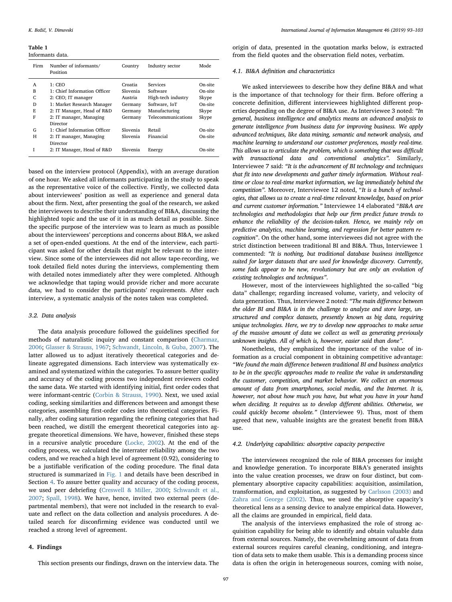<span id="page-4-0"></span>Table 1 Informants data.

| Firm | Number of informants/<br>Position | Country  | Industry sector    | Mode    |
|------|-----------------------------------|----------|--------------------|---------|
| A    | $1:$ CEO                          | Croatia  | <b>Services</b>    | On-site |
| B    | 1: Chief Information Officer      | Slovenia | Software           | On-site |
| C    | 2: CEO; IT manager                | Austria  | High-tech industry | Skype   |
| D    | 1: Market Research Manager        | Germany  | Software, IoT      | On-site |
| E    | 2: IT Manager, Head of R&D        | Germany  | Manufacturing      | Skype   |
| F    | 2: IT manager, Managing           | Germany  | Telecommunications | Skype   |
|      | Director                          |          |                    |         |
| G    | 1: Chief Information Officer      | Slovenia | Retail             | On-site |
| H    | 2: IT manager, Managing           | Slovenia | Financial          | On-site |
|      | Director                          |          |                    |         |
|      | 2: IT Manager, Head of R&D        | Slovenia | Energy             | On-site |

based on the interview protocol (Appendix), with an average duration of one hour. We asked all informants participating in the study to speak as the representative voice of the collective. Firstly, we collected data about interviewees' position as well as experience and general data about the firm. Next, after presenting the goal of the research, we asked the interviewees to describe their understanding of BI&A, discussing the highlighted topic and the use of it in as much detail as possible. Since the specific purpose of the interview was to learn as much as possible about the interviewees' perceptions and concerns about BI&A, we asked a set of open-ended questions. At the end of the interview, each participant was asked for other details that might be relevant to the interview. Since some of the interviewees did not allow tape-recording, we took detailed field notes during the interviews, complementing them with detailed notes immediately after they were completed. Although we acknowledge that taping would provide richer and more accurate data, we had to consider the participants' requirements. After each interview, a systematic analysis of the notes taken was completed.

# 3.2. Data analysis

The data analysis procedure followed the guidelines specified for methods of naturalistic inquiry and constant comparison [\(Charmaz,](#page-9-59) [2006;](#page-9-59) [Glasser & Strauss, 1967;](#page-9-60) [Schwandt, Lincoln, & Guba, 2007\)](#page-10-44). The latter allowed us to adjust iteratively theoretical categories and delineate aggregated dimensions. Each interview was systematically examined and systematized within the categories. To assure better quality and accuracy of the coding process two independent reviewers coded the same data. We started with identifying initial, first order codes that were informant-centric ([Corbin & Strauss, 1990](#page-9-50)). Next, we used axial coding, seeking similarities and differences between and amongst these categories, assembling first-order codes into theoretical categories. Finally, after coding saturation regarding the refining categories that had been reached, we distill the emergent theoretical categories into aggregate theoretical dimensions. We have, however, finished these steps in a recursive analytic procedure ([Locke, 2002\)](#page-9-61). At the end of the coding process, we calculated the interrater reliability among the two coders, and we reached a high level of agreement (0.92), considering to be a justifiable verification of the coding procedure. The final data structured is summarized in [Fig. 1](#page-5-0) and details have been described in Section [4](#page-4-1). To assure better quality and accuracy of the coding process, we used peer debriefing ([Creswell & Miller, 2000;](#page-9-62) [Schwandt et al.,](#page-10-44) [2007;](#page-10-44) [Spall, 1998\)](#page-10-45). We have, hence, invited two external peers (departmental members), that were not included in the research to evaluate and reflect on the data collection and analysis procedures. A detailed search for disconfirming evidence was conducted until we reached a strong level of agreement.

# <span id="page-4-1"></span>4. Findings

This section presents our findings, drawn on the interview data. The

origin of data, presented in the quotation marks below, is extracted from the field quotes and the observation field notes, verbatim.

# 4.1. BI&A definition and characteristics

We asked interviewees to describe how they define BI&A and what is the importance of that technology for their firm. Before offering a concrete definition, different interviewees highlighted different properties depending on the degree of BI&A use. As Interviewee 3 noted: "In general, business intelligence and analytics means an advanced analysis to generate intelligence from business data for improving business. We apply advanced techniques, like data mining, semantic and network analysis, and machine learning to understand our customer preferences, mostly real-time. This allows us to articulate the problem, which is something that was difficult with transactional data and conventional analytics". Similarly, Interviewee 7 said: "It is the advancement of BI technology and techniques that fit into new developments and gather timely information. Without realtime or close to real-time market information, we lag immediately behind the competition". Moreover, Interviewee 12 noted, "It is a bunch of technologies, that allows us to create a real-time relevant knowledge, based on prior and current customer information." Interviewee 14 elaborated "BI&A are technologies and methodologies that help our firm predict future trends to enhance the reliability of the decision-taken. Hence, we mainly rely on predictive analytics, machine learning, and regression for better pattern recognition". On the other hand, some interviewees did not agree with the strict distinction between traditional BI and BI&A. Thus, Interviewee 1 commented: "It is nothing, but traditional database business intelligence suited for larger datasets that are used for knowledge discovery. Currently, some fads appear to be new, revolutionary but are only an evolution of existing technologies and techniques".

However, most of the interviewees highlighted the so-called "big data" challenge; regarding increased volume, variety, and velocity of data generation. Thus, Interviewee 2 noted: "The main difference between the older BI and BI&A is in the challenge to analyze and store large, unstructured and complex datasets, presently known as big data, requiring unique technologies. Here, we try to develop new approaches to make sense of the massive amount of data we collect as well as generating previously unknown insights. All of which is, however, easier said than done".

Nonetheless, they emphasized the importance of the value of information as a crucial component in obtaining competitive advantage: "We found the main difference between traditional BI and business analytics to be in the specific approaches made to realize the value in understanding the customer, competition, and market behavior. We collect an enormous amount of data from smartphones, social media, and the Internet. It is, however, not about how much you have, but what you have in your hand when deciding. It requires us to develop different abilities. Otherwise, we could quickly become obsolete." (Interviewee 9). Thus, most of them agreed that new, valuable insights are the greatest benefit from BI&A use.

# 4.2. Underlying capabilities: absorptive capacity perspective

The interviewees recognized the role of BI&A processes for insight and knowledge generation. To incorporate BI&A's generated insights into the value creation processes, we draw on four distinct, but complementary absorptive capacity capabilities: acquisition, assimilation, transformation, and exploitation, as suggested by [Carlsson \(2003\)](#page-9-63) and [Zahra and George \(2002\).](#page-10-31) Thus, we used the absorptive capacity's theoretical lens as a sensing device to analyze empirical data. However, all the claims are grounded in empirical, field data.

The analysis of the interviews emphasized the role of strong acquisition capability for being able to identify and obtain valuable data from external sources. Namely, the overwhelming amount of data from external sources requires careful cleaning, conditioning, and integration of data sets to make them usable. This is a demanding process since data is often the origin in heterogeneous sources, coming with noise,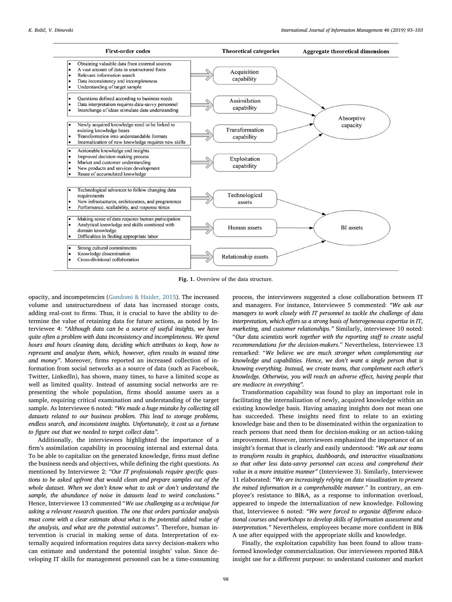<span id="page-5-0"></span>

Fig. 1. Overview of the data structure.

opacity, and incompetencies [\(Gandomi & Haider, 2015](#page-9-64)). The increased volume and unstructuredness of data has increased storage costs, adding real-cost to firms. Thus, it is crucial to have the ability to determine the value of retaining data for future actions, as noted by Interviewee 4: "Although data can be a source of useful insights, we have quite often a problem with data inconsistency and incompleteness. We spend hours and hours cleaning data, deciding which attributes to keep, how to represent and analyze them, which, however, often results in wasted time and money". Moreover, firms reported an increased collection of information from social networks as a source of data (such as Facebook, Twitter, LinkedIn), has shown, many times, to have a limited scope as well as limited quality. Instead of assuming social networks are representing the whole population, firms should assume users as a sample, requiring critical examination and understanding of the target sample. As Interviewee 6 noted: "We made a huge mistake by collecting all datasets related to our business problem. This lead to storage problems, endless search, and inconsistent insights. Unfortunately, it cost us a fortune to figure out that we needed to target collect data".

Additionally, the interviewees highlighted the importance of a firm's assimilation capability in processing internal and external data. To be able to capitalize on the generated knowledge, firms must define the business needs and objectives, while defining the right questions. As mentioned by Interviewee 2: "Our IT professionals require specific questions to be asked upfront that would clean and prepare samples out of the whole dataset. When we don't know what to ask or don't understand the sample, the abundance of noise in datasets lead to weird conclusions." Hence, Interviewee 13 commented "We use challenging as a technique for asking a relevant research question. The one that orders particular analysis must come with a clear estimate about what is the potential added value of the analysis, and what are the potential outcomes". Therefore, human intervention is crucial in making sense of data. Interpretation of externally acquired information requires data savvy decision-makers who can estimate and understand the potential insights' value. Since developing IT skills for management personnel can be a time-consuming process, the interviewees suggested a close collaboration between IT and managers. For instance, Interviewee 5 commented: "We ask our managers to work closely with IT personnel to tackle the challenge of data interpretation, which offers us a strong basis of heterogeneous expertise in IT, marketing, and customer relationships." Similarly, interviewee 10 noted: "Our data scientists work together with the reporting staff to create useful recommendations for the decision-makers." Nevertheless, Interviewee 13 remarked: "We believe we are much stronger when complementing our knowledge and capabilities. Hence, we don't want a single person that is knowing everything. Instead, we create teams, that complement each other's knowledge. Otherwise, you will reach an adverse effect, having people that are mediocre in everything".

Transformation capability was found to play an important role in facilitating the internalization of newly, acquired knowledge within an existing knowledge basis. Having amazing insights does not mean one has succeeded. These insights need first to relate to an existing knowledge base and then to be disseminated within the organization to reach persons that need them for decision-making or an action-taking improvement. However, interviewees emphasized the importance of an insight's format that is clearly and easily understood: "We ask our teams to transform results in graphics, dashboards, and interactive visualizations so that other less data-savvy personnel can access and comprehend their value in a more intuitive manner" (Interviewee 3). Similarly, Interviewee 11 elaborated: "We are increasingly relying on data visualization to present the mined information in a comprehensible manner." In contrary, an employee's resistance to BI&A, as a response to information overload, appeared to impede the internalization of new knowledge. Following that, Interviewee 6 noted: "We were forced to organize different educational courses and workshops to develop skills of information assessment and interpretation." Nevertheless, employees became more confident in BI& A use after equipped with the appropriate skills and knowledge.

Finally, the exploitation capability has been found to allow transformed knowledge commercialization. Our interviewees reported BI&A insight use for a different purpose: to understand customer and market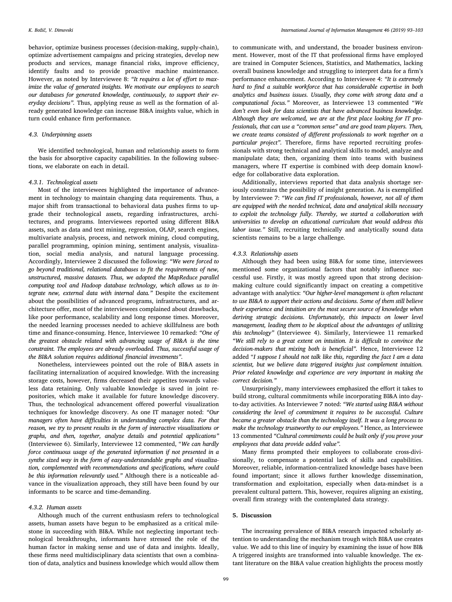behavior, optimize business processes (decision-making, supply-chain), optimize advertisement campaigns and pricing strategies, develop new products and services, manage financial risks, improve efficiency, identify faults and to provide proactive machine maintenance. However, as noted by Interviewee 8: "It requires a lot of effort to maximize the value of generated insights. We motivate our employees to search our databases for generated knowledge, continuously, to support their everyday decisions". Thus, applying reuse as well as the formation of already generated knowledge can increase BI&A insights value, which in turn could enhance firm performance.

# 4.3. Underpinning assets

We identified technological, human and relationship assets to form the basis for absorptive capacity capabilities. In the following subsections, we elaborate on each in detail.

# 4.3.1. Technological assets

Most of the interviewees highlighted the importance of advancement in technology to maintain changing data requirements. Thus, a major shift from transactional to behavioral data pushes firms to upgrade their technological assets, regarding infrastructures, architectures, and programs. Interviewees reported using different BI&A assets, such as data and text mining, regression, OLAP, search engines, multivariate analysis, process, and network mining, cloud computing, parallel programming, opinion mining, sentiment analysis, visualization, social media analysis, and natural language processing. Accordingly, Interviewee 2 discussed the following: "We were forced to go beyond traditional, relational databases to fit the requirements of new, unstructured, massive datasets. Thus, we adopted the MapReduce parallel computing tool and Hadoop database technology, which allows us to integrate new, external data with internal data." Despite the excitement about the possibilities of advanced programs, infrastructures, and architecture offer, most of the interviewees complained about drawbacks, like poor performance, scalability and long response times. Moreover, the needed learning processes needed to achieve skillfulness are both time and finance-consuming. Hence, Interviewee 10 remarked: "One of the greatest obstacle related with advancing usage of BI&A is the time constraint. The employees are already overloaded. Thus, successful usage of the BI&A solution requires additional financial investments".

Nonetheless, interviewees pointed out the role of BI&A assets in facilitating internalization of acquired knowledge. With the increasing storage costs, however, firms decreased their appetites towards valueless data retaining. Only valuable knowledge is saved in joint repositories, which make it available for future knowledge discovery. Thus, the technological advancement offered powerful visualization techniques for knowledge discovery. As one IT manager noted: "Our managers often have difficulties in understanding complex data. For that reason, we try to present results in the form of interactive visualizations or graphs, and then, together, analyze details and potential applications" (Interviewee 6). Similarly, Interviewee 12 commented, "We can hardly force continuous usage of the generated information if not presented in a synthe sized way in the form of easy-understandable graphs and visualization, complemented with recommendations and specifications, where could be this information relevantly used." Although there is a noticeable advance in the visualization approach, they still have been found by our informants to be scarce and time-demanding.

### 4.3.2. Human assets

Although much of the current enthusiasm refers to technological assets, human assets have begun to be emphasized as a critical milestone in succeeding with BI&A. While not neglecting important technological breakthroughs, informants have stressed the role of the human factor in making sense and use of data and insights. Ideally, these firms need multidisciplinary data scientists that own a combination of data, analytics and business knowledge which would allow them

to communicate with, and understand, the broader business environment. However, most of the IT that professional firms have employed are trained in Computer Sciences, Statistics, and Mathematics, lacking overall business knowledge and struggling to interpret data for a firm's performance enhancement. According to Interviewee 4: "It is extremely hard to find a suitable workforce that has considerable expertise in both analytics and business issues. Usually, they come with strong data and a computational focus." Moreover, as Interviewee 13 commented "We don't even look for data scientists that have advanced business knowledge. Although they are welcomed, we are at the first place looking for IT professionals, that can use a "common sense" and are good team players. Then, we create teams consisted of different professionals to work together on a particular project". Therefore, firms have reported recruiting professionals with strong technical and analytical skills to model, analyze and manipulate data; then, organizing them into teams with business managers, where IT expertise is combined with deep domain knowledge for collaborative data exploration.

Additionally, interviews reported that data analysis shortage seriously constrains the possibility of insight generation. As is exemplified by Interviewee 7: "We can find IT professionals, however, not all of them are equipped with the needed technical, data and analytical skills necessary to exploit the technology fully. Thereby, we started a collaboration with universities to develop an educational curriculum that would address this labor issue." Still, recruiting technically and analytically sound data scientists remains to be a large challenge.

#### 4.3.3. Relationship assets

Although they had been using BI&A for some time, interviewees mentioned some organizational factors that notably influence successful use. Firstly, it was mostly agreed upon that strong decisionmaking culture could significantly impact on creating a competitive advantage with analytics: "Our higher-level management is often reluctant to use BI&A to support their actions and decisions. Some of them still believe their experience and intuition are the most secure source of knowledge when deriving strategic decisions. Unfortunately, this impacts on lower level management, leading them to be skeptical about the advantages of utilizing this technology" (Interviewee 4). Similarly, Interviewee 11 remarked "We still rely to a great extent on intuition. It is difficult to convince the decision-makers that mixing both is beneficial". Hence, Interviewee 12 added "I suppose I should not talk like this, regarding the fact I am a data scientist, but we believe data triggered insights just complement intuition. Prior related knowledge and experience are very important in making the correct decision."

Unsurprisingly, many interviewees emphasized the effort it takes to build strong, cultural commitments while incorporating BI&A into dayto-day activities. As Interviewee 7 noted: "We started using BI&A without considering the level of commitment it requires to be successful. Culture became a greater obstacle than the technology itself. It was a long process to make the technology trustworthy to our employees." Hence, as Interviewee 13 commented "Cultural commitments could be built only if you prove your employees that data provide added value".

Many firms prompted their employees to collaborate cross-divisionally, to compensate a potential lack of skills and capabilities. Moreover, reliable, information-centralized knowledge bases have been found important; since it allows further knowledge dissemination, transformation and exploitation, especially when data-mindset is a prevalent cultural pattern. This, however, requires aligning an existing, overall firm strategy with the contemplated data strategy.

# 5. Discussion

The increasing prevalence of BI&A research impacted scholarly attention to understanding the mechanism trough witch BI&A use creates value. We add to this line of inquiry by examining the issue of how BI& A triggered insights are transformed into valuable knowledge. The extant literature on the BI&A value creation highlights the process mostly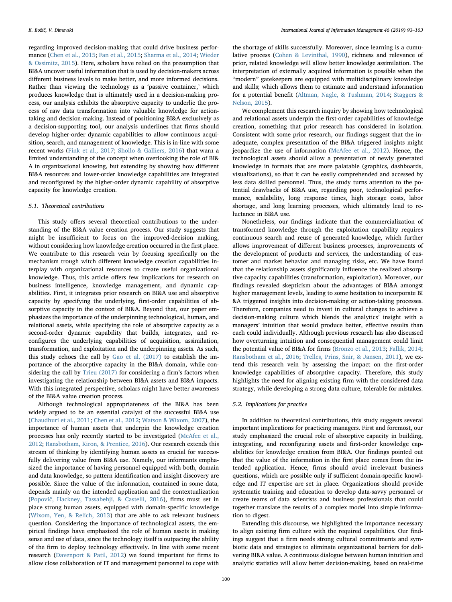regarding improved decision-making that could drive business performance ([Chen et al., 2015;](#page-9-7) [Fan et al., 2015;](#page-9-12) [Sharma et al., 2014;](#page-10-14) [Wieder](#page-10-46) [& Ossimitz, 2015\)](#page-10-46). Here, scholars have relied on the presumption that BI&A uncover useful information that is used by decision-makers across different business levels to make better, and more informed decisions. Rather than viewing the technology as a 'passive container,' which produces knowledge that is ultimately used in a decision-making process, our analysis exhibits the absorptive capacity to underlie the process of raw data transformation into valuable knowledge for actiontaking and decision-making. Instead of positioning BI&A exclusively as a decision-supporting tool, our analysis underlines that firms should develop higher-order dynamic capabilities to allow continuous acquisition, search, and management of knowledge. This is in-line with some recent works ([Fink et al., 2017](#page-9-8); [Shollo & Galliers, 2016](#page-10-13)) that warn a limited understanding of the concept when overlooking the role of BI& A in organizational knowing, but extending by showing how different BI&A resources and lower-order knowledge capabilities are integrated and reconfigured by the higher-order dynamic capability of absorptive capacity for knowledge creation.

#### 5.1. Theoretical contributions

This study offers several theoretical contributions to the understanding of the BI&A value creation process. Our study suggests that might be insufficient to focus on the improved-decision making, without considering how knowledge creation occurred in the first place. We contribute to this research vein by focusing specifically on the mechanism trough witch different knowledge creation capabilities interplay with organizational resources to create useful organizational knowledge. Thus, this article offers few implications for research on business intelligence, knowledge management, and dynamic capabilities. First, it integrates prior research on BI&A use and absorptive capacity by specifying the underlying, first-order capabilities of absorptive capacity in the context of BI&A. Beyond that, our paper emphasizes the importance of the underpinning technological, human, and relational assets, while specifying the role of absorptive capacity as a second-order dynamic capability that builds, integrates, and reconfigures the underlying capabilities of acquisition, assimilation, transformation, and exploitation and the underpinning assets. As such, this study echoes the call by [Gao et al. \(2017\)](#page-9-41) to establish the importance of the absorptive capacity in the BI&A domain, while considering the call by [Trieu \(2017\)](#page-10-0) for considering a firm's factors when investigating the relationship between BI&A assets and BI&A impacts. With this integrated perspective, scholars might have better awareness of the BI&A value creation process.

Although technological appropriateness of the BI&A has been widely argued to be an essential catalyst of the successful BI&A use ([Chaudhuri et al., 2011](#page-9-9); [Chen et al., 2012](#page-9-1); [Watson & Wixom, 2007](#page-10-16)), the importance of human assets that underpin the knowledge creation processes has only recently started to be investigated [\(McAfee](#page-9-21) et al., [2012;](#page-9-21) [Ransbotham, Kiron, & Prentice, 2016\)](#page-10-47). Our research extends this stream of thinking by identifying human assets as crucial for successfully delivering value from BI&A use. Namely, our informants emphasized the importance of having personnel equipped with both, domain and data knowledge, so pattern identification and insight discovery are possible. Since the value of the information, contained in some data, depends mainly on the intended application and the contextualization (Popovič[, Hackney, Tassabehji, & Castelli, 2016](#page-10-48)), firms must set in place strong human assets, equipped with domain-specific knowledge ([Wixom, Yen, & Relich, 2013](#page-10-49)) that are able to ask relevant business question. Considering the importance of technological assets, the empirical findings have emphasized the role of human assets in making sense and use of data, since the technology itself is outpacing the ability of the firm to deploy technology effectively. In line with some recent research ([Davenport & Patil, 2012](#page-9-65)) we found important for firms to allow close collaboration of IT and management personnel to cope with

the shortage of skills successfully. Moreover, since learning is a cumulative process ([Cohen & Levinthal, 1990](#page-9-32)), richness and relevance of prior, related knowledge will allow better knowledge assimilation. The interpretation of externally acquired information is possible when the "modern" gatekeepers are equipped with multidisciplinary knowledge and skills; which allows them to estimate and understand information for a potential benefit [\(Altman, Nagle, & Tushman, 2014;](#page-8-13) [Staggers &](#page-10-50) [Nelson, 2015](#page-10-50)).

We complement this research inquiry by showing how technological and relational assets underpin the first-order capabilities of knowledge creation, something that prior research has considered in isolation. Consistent with some prior research, our findings suggest that the inadequate, complex presentation of the BI&A triggered insights might jeopardize the use of information [\(McAfee et al., 2012\)](#page-9-21). Hence, the technological assets should allow a presentation of newly generated knowledge in formats that are more palatable (graphics, dashboards, visualizations), so that it can be easily comprehended and accessed by less data skilled personnel. Thus, the study turns attention to the potential drawbacks of BI&A use, regarding poor, technological performance, scalability, long response times, high storage costs, labor shortage, and long learning processes, which ultimately lead to reluctance in BI&A use.

Nonetheless, our findings indicate that the commercialization of transformed knowledge through the exploitation capability requires continuous search and reuse of generated knowledge, which further allows improvement of different business processes, improvements of the development of products and services, the understanding of customer and market behavior and managing risks, etc. We have found that the relationship assets significantly influence the realized absorptive capacity capabilities (transformation, exploitation). Moreover, our findings revealed skepticism about the advantages of BI&A amongst higher management levels, leading to some hesitation to incorporate BI &A triggered insights into decision-making or action-taking processes. Therefore, companies need to invest in cultural changes to achieve a decision-making culture which blends the analytics' insight with a managers' intuition that would produce better, effective results than each could individually. Although previous research has also discussed how overturning intuition and consequential management could limit the potential value of BI&A for firms [\(Bronzo et al., 2013;](#page-8-14) [Fallik, 2014](#page-9-66); [Ransbotham et al., 2016](#page-10-47); [Trelles, Prins, Snir, & Jansen, 2011\)](#page-10-51), we extend this research vein by assessing the impact on the first-order knowledge capabilities of absorptive capacity. Therefore, this study highlights the need for aligning existing firm with the considered data strategy, while developing a strong data culture, tolerable for mistakes.

# 5.2. Implications for practice

In addition to theoretical contributions, this study suggests several important implications for practicing managers. First and foremost, our study emphasized the crucial role of absorptive capacity in building, integrating, and reconfiguring assets and first-order knowledge capabilities for knowledge creation from BI&A. Our findings pointed out that the value of the information in the first place comes from the intended application. Hence, firms should avoid irrelevant business questions, which are possible only if sufficient domain-specific knowledge and IT expertise are set in place. Organizations should provide systematic training and education to develop data-savvy personnel or create teams of data scientists and business professionals that could together translate the results of a complex model into simple information to digest.

Extending this discourse, we highlighted the importance necessary to align existing firm culture with the required capabilities. Our findings suggest that a firm needs strong cultural commitments and symbiotic data and strategies to eliminate organizational barriers for delivering BI&A value. A continuous dialogue between human intuition and analytic statistics will allow better decision-making, based on real-time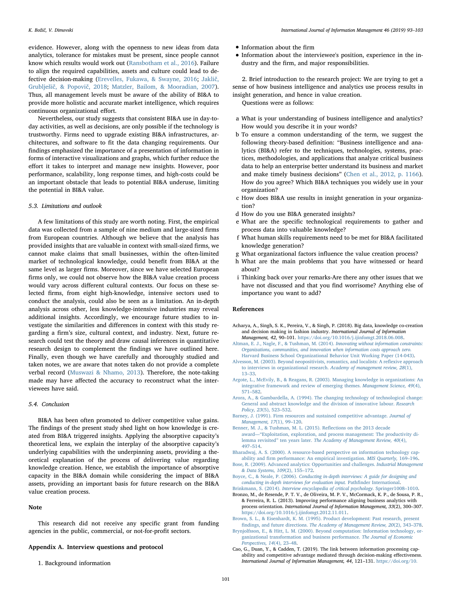evidence. However, along with the openness to new ideas from data analytics, tolerance for mistakes must be present, since people cannot know which results would work out [\(Ransbotham et al., 2016](#page-10-47)). Failure to align the required capabilities, assets and culture could lead to defective decision-making [\(Erevelles, Fukawa, & Swayne, 2016;](#page-9-67) [Jakli](#page-9-68)č, Grublješič[, & Popovi](#page-9-68)č, 2018; [Matzler, Bailom, & Mooradian, 2007](#page-9-69)). Thus, all management levels must be aware of the ability of BI&A to provide more holistic and accurate market intelligence, which requires continuous organizational effort.

Nevertheless, our study suggests that consistent BI&A use in day-today activities, as well as decisions, are only possible if the technology is trustworthy. Firms need to upgrade existing BI&A infrastructures, architectures, and software to fit the data changing requirements. Our findings emphasized the importance of a presentation of information in forms of interactive visualizations and graphs, which further reduce the effort it takes to interpret and manage new insights. However, poor performance, scalability, long response times, and high-costs could be an important obstacle that leads to potential BI&A underuse, limiting the potential in BI&A value.

#### 5.3. Limitations and outlook

A few limitations of this study are worth noting. First, the empirical data was collected from a sample of nine medium and large-sized firms from European countries. Although we believe that the analysis has provided insights that are valuable in context with small-sized firms, we cannot make claims that small businesses, within the often-limited market of technological knowledge, could benefit from BI&A at the same level as larger firms. Moreover, since we have selected European firms only, we could not observe how the BI&A value creation process would vary across different cultural contexts. Our focus on these selected firms, from eight high-knowledge, intensive sectors used to conduct the analysis, could also be seen as a limitation. An in-depth analysis across other, less knowledge-intensive industries may reveal additional insights. Accordingly, we encourage future studies to investigate the similarities and differences in context with this study regarding a firm's size, cultural context, and industry. Next, future research could test the theory and draw causal inferences in quantitative research design to complement the findings we have outlined here. Finally, even though we have carefully and thoroughly studied and taken notes, we are aware that notes taken do not provide a complete verbal record [\(Muswazi & Nhamo, 2013](#page-10-52)). Therefore, the note-taking made may have affected the accuracy to reconstruct what the interviewees have said.

# 5.4. Conclusion

BI&A has been often promoted to deliver competitive value gains. The findings of the present study shed light on how knowledge is created from BI&A triggered insights. Applying the absorptive capacity's theoretical lens, we explain the interplay of the absorptive capacity's underlying capabilities with the underpinning assets, providing a theoretical explanation of the process of delivering value regarding knowledge creation. Hence, we establish the importance of absorptive capacity in the BI&A domain while considering the impact of BI&A assets, providing an important basis for future research on the BI&A value creation process.

### **Note**

This research did not receive any specific grant from funding agencies in the public, commercial, or not-for-profit sectors.

#### Appendix A. Interview questions and protocol

1. Background information

- Information about the firm
- Information about the interviewee's position, experience in the industry and the firm, and major responsibilities.

2. Brief introduction to the research project: We are trying to get a sense of how business intelligence and analytics use process results in insight generation, and hence in value creation.

Questions were as follows:

- a What is your understanding of business intelligence and analytics? How would you describe it in your words?
- b To ensure a common understanding of the term, we suggest the following theory-based definition: "Business intelligence and analytics (BI&A) refer to the techniques, technologies, systems, practices, methodologies, and applications that analyze critical business data to help an enterprise better understand its business and market and make timely business decisions" [\(Chen et al., 2012, p. 1166](#page-9-1)). How do you agree? Which BI&A techniques you widely use in your organization?
- c How does BI&A use results in insight generation in your organization?
- d How do you use BI&A generated insights?
- e What are the specific technological requirements to gather and process data into valuable knowledge?
- f What human skills requirements need to be met for BI&A facilitated knowledge generation?
- g What organizational factors influence the value creation process?
- h What are the main problems that you have witnessed or heard about?
- i Thinking back over your remarks-Are there any other issues that we have not discussed and that you find worrisome? Anything else of importance you want to add?

#### References

- <span id="page-8-3"></span>Acharya, A., Singh, S. K., Pereira, V., & Singh, P. (2018). Big data, knowledge co-creation and decision making in fashion industry. International Journal of Information Management, 42, 90–101. [https://doi.org/10.1016/j.ijinfomgt.2018.06.008.](https://doi.org/10.1016/j.ijinfomgt.2018.06.008)
- <span id="page-8-13"></span>[Altman, E. J., Nagle, F., & Tushman, M. \(2014\).](http://refhub.elsevier.com/S0268-4012(18)30170-1/sbref0010) Innovating without information constraints: [Organizations, communities, and innovation when information costs approach zero.](http://refhub.elsevier.com/S0268-4012(18)30170-1/sbref0010)
- <span id="page-8-10"></span>[Harvard Business School Organizational Behavior Unit Working Paper \(14-043\).](http://refhub.elsevier.com/S0268-4012(18)30170-1/sbref0010) [Alvesson, M. \(2003\). Beyond neopositivists, romantics, and localists: A re](http://refhub.elsevier.com/S0268-4012(18)30170-1/sbref0015)flexive approach [to interviews in organizational research.](http://refhub.elsevier.com/S0268-4012(18)30170-1/sbref0015) Academy of management review, 28(1), 13–[33](http://refhub.elsevier.com/S0268-4012(18)30170-1/sbref0015).
- <span id="page-8-8"></span>[Argote, L., McEvily, B., & Reagans, R. \(2003\). Managing knowledge in organizations: An](http://refhub.elsevier.com/S0268-4012(18)30170-1/sbref0020) [integrative framework and review of emerging themes.](http://refhub.elsevier.com/S0268-4012(18)30170-1/sbref0020) Management Science, 49(4), 571–[582](http://refhub.elsevier.com/S0268-4012(18)30170-1/sbref0020).
- <span id="page-8-6"></span>[Arora, A., & Gambardella, A. \(1994\). The changing technology of technological change:](http://refhub.elsevier.com/S0268-4012(18)30170-1/sbref0025) [General and abstract knowledge and the division of innovative labour.](http://refhub.elsevier.com/S0268-4012(18)30170-1/sbref0025) Research [Policy, 23](http://refhub.elsevier.com/S0268-4012(18)30170-1/sbref0025)(5), 523–532.
- <span id="page-8-9"></span>[Barney, J. \(1991\). Firm resources and sustained competitive advantage.](http://refhub.elsevier.com/S0268-4012(18)30170-1/sbref0030) Journal of [Management, 17](http://refhub.elsevier.com/S0268-4012(18)30170-1/sbref0030)(1), 99–120.
- <span id="page-8-0"></span>[Benner, M. J., & Tushman, M. L. \(2015\). Re](http://refhub.elsevier.com/S0268-4012(18)30170-1/sbref0035)flections on the 2013 decade award—"[Exploitation, exploration, and process management: The productivity di](http://refhub.elsevier.com/S0268-4012(18)30170-1/sbref0035)lemma revisited" ten years later. [The Academy of Management Review, 40](http://refhub.elsevier.com/S0268-4012(18)30170-1/sbref0035)(4), 497–[514](http://refhub.elsevier.com/S0268-4012(18)30170-1/sbref0035).
- <span id="page-8-4"></span>[Bharadwaj, A. S. \(2000\). A resource-based perspective on information technology cap](http://refhub.elsevier.com/S0268-4012(18)30170-1/sbref0040)ability and fi[rm performance: An empirical investigation.](http://refhub.elsevier.com/S0268-4012(18)30170-1/sbref0040) MIS Quarterly, 169–196.
- <span id="page-8-2"></span>[Bose, R. \(2009\). Advanced analytics: Opportunities and challenges.](http://refhub.elsevier.com/S0268-4012(18)30170-1/sbref0045) Industrial Management [& Data Systems, 109](http://refhub.elsevier.com/S0268-4012(18)30170-1/sbref0045)(2), 155–172.
- <span id="page-8-12"></span>Boyce, C., & Neale, P. (2006). [Conducting in-depth interviews: A guide for designing and](http://refhub.elsevier.com/S0268-4012(18)30170-1/sbref0050) [conducting in-depth interviews for evaluation input.](http://refhub.elsevier.com/S0268-4012(18)30170-1/sbref0050) Pathfinder International.
- <span id="page-8-14"></span><span id="page-8-11"></span>Brinkmann, S. (2014). [Interview encyclopedia of critical psychology.](http://refhub.elsevier.com/S0268-4012(18)30170-1/sbref0055) Springer1008–1010. Bronzo, M., de Resende, P. T. V., de Oliveira, M. P. V., McCormack, K. P., de Sousa, P. R., & Ferreira, R. L. (2013). Improving performance aligning business analytics with process orientation. International Journal of Information Management, 33(2), 300–307. <https://doi.org/10.1016/j.ijinfomgt.2012.11.011>.
- <span id="page-8-7"></span>[Brown, S. L., & Eisenhardt, K. M. \(1995\). Product development: Past research, present](http://refhub.elsevier.com/S0268-4012(18)30170-1/sbref0065) findings, and future directions. [The Academy of Management Review, 20](http://refhub.elsevier.com/S0268-4012(18)30170-1/sbref0065)(2), 343–378.
- <span id="page-8-1"></span>[Brynjolfsson, E., & Hitt, L. M. \(2000\). Beyond computation: Information technology, or](http://refhub.elsevier.com/S0268-4012(18)30170-1/sbref0070)[ganizational transformation and business performance.](http://refhub.elsevier.com/S0268-4012(18)30170-1/sbref0070) The Journal of Economic [Perspectives, 14](http://refhub.elsevier.com/S0268-4012(18)30170-1/sbref0070)(4), 23–48.
- <span id="page-8-5"></span>Cao, G., Duan, Y., & Cadden, T. (2019). The link between information processing capability and competitive advantage mediated through decision-making effectiveness. International Journal of Information Management, 44, 121–131. [https://doi.org/10.](https://doi.org/10.1016/j.ijinfomgt.2018.10.003)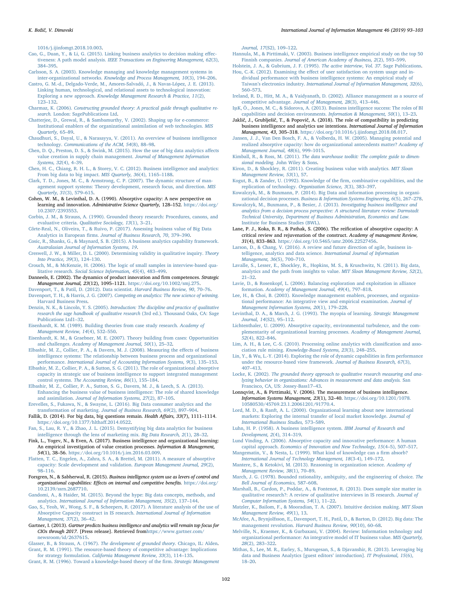[1016/j.ijinfomgt.2018.10.003](https://doi.org/10.1016/j.ijinfomgt.2018.10.003).

- <span id="page-9-29"></span>[Cao, G., Duan, Y., & Li, G. \(2015\). Linking business analytics to decision making e](http://refhub.elsevier.com/S0268-4012(18)30170-1/sbref0080)ffectiveness: A path model analysis. [IEEE Transactions on Engineering Management, 62](http://refhub.elsevier.com/S0268-4012(18)30170-1/sbref0080)(3), 384–[395](http://refhub.elsevier.com/S0268-4012(18)30170-1/sbref0080).
- <span id="page-9-63"></span>[Carlsson, S. A. \(2003\). Knowledge managing and knowledge management systems in](http://refhub.elsevier.com/S0268-4012(18)30170-1/sbref0085) inter-organizational networks. [Knowledge and Process Management, 10](http://refhub.elsevier.com/S0268-4012(18)30170-1/sbref0085)(3), 194-206. [Castro, G. M.-d., Delgado-Verde, M., Amores-Salvadó, J., & Navas-López, J. E. \(2013\).](http://refhub.elsevier.com/S0268-4012(18)30170-1/sbref0090)
- <span id="page-9-46"></span>[Linking human, technological, and relational assets to technological innovation:](http://refhub.elsevier.com/S0268-4012(18)30170-1/sbref0090) Exploring a new approach. [Knowledge Management Research & Practice, 11](http://refhub.elsevier.com/S0268-4012(18)30170-1/sbref0090)(2), 123–[132](http://refhub.elsevier.com/S0268-4012(18)30170-1/sbref0090).
- <span id="page-9-59"></span>Charmaz, K. (2006). [Constructing grounded theory: A practical guide through qualitative re](http://refhub.elsevier.com/S0268-4012(18)30170-1/sbref0095)search. [London: SagePublications Ltd](http://refhub.elsevier.com/S0268-4012(18)30170-1/sbref0095).
- <span id="page-9-56"></span>[Chatterjee, D., Grewal, R., & Sambamurthy, V. \(2002\). Shaping up for e-commerce:](http://refhub.elsevier.com/S0268-4012(18)30170-1/sbref0100) [Institutional enablers of the organizational assimilation of web technologies.](http://refhub.elsevier.com/S0268-4012(18)30170-1/sbref0100) MIS [Quarterly,](http://refhub.elsevier.com/S0268-4012(18)30170-1/sbref0100) 65–89.
- <span id="page-9-9"></span>[Chaudhuri, S., Dayal, U., & Narasayya, V. \(2011\). An overview of business intelligence](http://refhub.elsevier.com/S0268-4012(18)30170-1/sbref0105) technology. [Communications of the ACM, 54](http://refhub.elsevier.com/S0268-4012(18)30170-1/sbref0105)(8), 88–98.
- <span id="page-9-7"></span>[Chen, D. Q., Preston, D. S., & Swink, M. \(2015\). How the use of big data analytics a](http://refhub.elsevier.com/S0268-4012(18)30170-1/sbref0110)ffects [value creation in supply chain management.](http://refhub.elsevier.com/S0268-4012(18)30170-1/sbref0110) Journal of Management Information [Systems, 32](http://refhub.elsevier.com/S0268-4012(18)30170-1/sbref0110)(4), 4–39.
- <span id="page-9-1"></span>[Chen, H. C., Chiang, R. H. L., & Storey, V. C. \(2012\). Business intelligence and analytics:](http://refhub.elsevier.com/S0268-4012(18)30170-1/sbref0115) [From big data to big impact.](http://refhub.elsevier.com/S0268-4012(18)30170-1/sbref0115) MIS Quarterly, 36(4), 1165–1188.
- <span id="page-9-27"></span>[Clark, T. D., Jones, M. C., & Armstrong, C. P. \(2007\). The dynamic structure of man](http://refhub.elsevier.com/S0268-4012(18)30170-1/sbref0120)[agement support systems: Theory development, research focus, and direction.](http://refhub.elsevier.com/S0268-4012(18)30170-1/sbref0120) MIS [Quarterly, 31](http://refhub.elsevier.com/S0268-4012(18)30170-1/sbref0120)(3), 579–615.
- <span id="page-9-32"></span>Cohen, W. M., & Levinthal, D. A. (1990). Absorptive capacity: A new perspective on learning and innovation. Administrative Science Quarterly, 128-152. [https://doi.org/](https://doi.org/10.2307/2393553) [10.2307/2393553](https://doi.org/10.2307/2393553).
- <span id="page-9-50"></span>[Corbin, J. M., & Strauss, A. \(1990\). Grounded theory research: Procedures, canons, and](http://refhub.elsevier.com/S0268-4012(18)30170-1/sbref0130) evaluative criteria. [Qualitative Sociology, 13](http://refhub.elsevier.com/S0268-4012(18)30170-1/sbref0130)(1), 3–21.
- <span id="page-9-30"></span>[Côrte-Real, N., Oliveira, T., & Ruivo, P. \(2017\). Assessing business value of Big Data](http://refhub.elsevier.com/S0268-4012(18)30170-1/sbref0135) Analytics in European firms. [Journal of Business Research, 70](http://refhub.elsevier.com/S0268-4012(18)30170-1/sbref0135), 379–390.
- <span id="page-9-45"></span>[Cosic, R., Shanks, G., & Maynard, S. B. \(2015\). A business analytics capability framework.](http://refhub.elsevier.com/S0268-4012(18)30170-1/sbref0140) [Australasian Journal of Information Systems, 19](http://refhub.elsevier.com/S0268-4012(18)30170-1/sbref0140).
- <span id="page-9-62"></span>Creswell, [J. W., & Miller, D. L. \(2000\). Determining validity in qualitative inquiry.](http://refhub.elsevier.com/S0268-4012(18)30170-1/sbref0145) Theory [Into Practice, 39](http://refhub.elsevier.com/S0268-4012(18)30170-1/sbref0145)(3), 124–130.
- <span id="page-9-57"></span>[Crouch, M., & McKenzie, H. \(2006\). The logic of small samples in interview-based qua](http://refhub.elsevier.com/S0268-4012(18)30170-1/sbref0150)litative research. [Social Science Information, 45](http://refhub.elsevier.com/S0268-4012(18)30170-1/sbref0150)(4), 483–499.
- <span id="page-9-34"></span>Danneels, E. (2002). The dynamics of product innovation and firm competences. Strategic Management Journal, 23(12), 1095–1121. [https://doi.org/10.1002/smj.275.](https://doi.org/10.1002/smj.275)
- <span id="page-9-65"></span>[Davenport, T., & Patil, D. \(2012\). Data scientist.](http://refhub.elsevier.com/S0268-4012(18)30170-1/sbref0160) Harvard Business Review, 90, 70–76.

<span id="page-9-16"></span>Davenport, T. H., & Harris, J. G. (2007). [Competing on analytics: The new science of winning.](http://refhub.elsevier.com/S0268-4012(18)30170-1/sbref0165) [Harvard Business Press](http://refhub.elsevier.com/S0268-4012(18)30170-1/sbref0165).

- <span id="page-9-52"></span>Denzin, N. K., & Lincoln, Y. S. (2005). [Introduction: The discipline and practice of qualitative](http://refhub.elsevier.com/S0268-4012(18)30170-1/sbref0170) [research the sage handbook of qualitative research](http://refhub.elsevier.com/S0268-4012(18)30170-1/sbref0170) (3rd ed.). Thousand Oaks, CA: Sage [Publications Ltd1](http://refhub.elsevier.com/S0268-4012(18)30170-1/sbref0170)–32.
- <span id="page-9-51"></span>[Eisenhardt, K. M. \(1989\). Building theories from case study research.](http://refhub.elsevier.com/S0268-4012(18)30170-1/sbref0175) Academy of [Management Review, 14](http://refhub.elsevier.com/S0268-4012(18)30170-1/sbref0175)(4), 532–550.
- <span id="page-9-53"></span>[Eisenhardt, K. M., & Graebner, M. E. \(2007\). Theory building from cases: Opportunities](http://refhub.elsevier.com/S0268-4012(18)30170-1/sbref0180) and challenges. [Academy of Management Journal, 50](http://refhub.elsevier.com/S0268-4012(18)30170-1/sbref0180)(1), 25–32.
- <span id="page-9-17"></span>[Elbashir, M. Z., Collier, P. A., & Davern, M. J. \(2008\). Measuring the e](http://refhub.elsevier.com/S0268-4012(18)30170-1/sbref0185)ffects of business [intelligence systems: The relationship between business process and organizational](http://refhub.elsevier.com/S0268-4012(18)30170-1/sbref0185) performance. [International Journal of Accounting Information Systems, 9](http://refhub.elsevier.com/S0268-4012(18)30170-1/sbref0185)(3), 135–153.
- <span id="page-9-10"></span>[Elbashir, M. Z., Collier, P. A., & Sutton, S. G. \(2011\). The role of organizational absorptive](http://refhub.elsevier.com/S0268-4012(18)30170-1/sbref0190) [capacity in strategic use of business intelligence to support integrated management](http://refhub.elsevier.com/S0268-4012(18)30170-1/sbref0190) control systems. [The Accounting Review, 86](http://refhub.elsevier.com/S0268-4012(18)30170-1/sbref0190)(1), 155–184.
- <span id="page-9-6"></span>[Elbashir, M. Z., Collier, P. A., Sutton, S. G., Davern, M. J., & Leech, S. A. \(2013\).](http://refhub.elsevier.com/S0268-4012(18)30170-1/sbref0195) [Enhancing the business value of business intelligence: The role of shared knowledge](http://refhub.elsevier.com/S0268-4012(18)30170-1/sbref0195) and assimilation. [Journal of Information Systems, 27](http://refhub.elsevier.com/S0268-4012(18)30170-1/sbref0195)(2), 87–105.
- <span id="page-9-67"></span>[Erevelles, S., Fukawa, N., & Swayne, L. \(2016\). Big Data consumer analytics and the](http://refhub.elsevier.com/S0268-4012(18)30170-1/sbref0200) transformation of marketing. [Journal of Business Research, 69](http://refhub.elsevier.com/S0268-4012(18)30170-1/sbref0200)(2), 897–904.
- <span id="page-9-66"></span>Fallik, D. (2014). For big data, big questions remain. Health Affairs, 33(7), 1111–1114. [https://doi.org/10.1377/hltha](https://doi.org/10.1377/hlthaff.2014.0522)ff.2014.0522.
- <span id="page-9-12"></span>Fan, [S., Lau, R. Y., & Zhao, J. L. \(2015\). Demystifying big data analytics for business](http://refhub.elsevier.com/S0268-4012(18)30170-1/sbref0210) [intelligence through the lens of marketing mix.](http://refhub.elsevier.com/S0268-4012(18)30170-1/sbref0210) Big Data Research, 2(1), 28–32.
- <span id="page-9-8"></span>Fink, L., Yogev, N., & Even, A. (2017). Business intelligence and organizational learning: An empirical investigation of value creation processes. Information & Management, 54(1), 38–56. [https://doi.org/10.1016/j.im.2016.03.009.](https://doi.org/10.1016/j.im.2016.03.009)
- <span id="page-9-42"></span>[Flatten, T. C., Engelen, A., Zahra, S. A., & Brettel, M. \(2011\). A measure of absorptive](http://refhub.elsevier.com/S0268-4012(18)30170-1/sbref0220) [capacity: Scale development and validation.](http://refhub.elsevier.com/S0268-4012(18)30170-1/sbref0220) European Management Journal, 29(2), 98–[116.](http://refhub.elsevier.com/S0268-4012(18)30170-1/sbref0220)
- <span id="page-9-11"></span>Forsgren, N., & Sabherwal, R. (2015). Business intelligence system use as levers of control and organizational capabilities: Effects on internal and competitive benefits. [https://doi.org/](https://doi.org/10.2139/ssrn.2687710) [10.2139/ssrn.2687710](https://doi.org/10.2139/ssrn.2687710).
- <span id="page-9-64"></span>[Gandomi, A., & Haider, M. \(2015\). Beyond the hype: Big data concepts, methods, and](http://refhub.elsevier.com/S0268-4012(18)30170-1/sbref0230) analytics. [International Journal of Information Management, 35](http://refhub.elsevier.com/S0268-4012(18)30170-1/sbref0230)(2), 137–144.
- <span id="page-9-41"></span>[Gao, S., Yeoh, W., Wong, S. F., & Scheepers, R. \(2017\). A literature analysis of the use of](http://refhub.elsevier.com/S0268-4012(18)30170-1/sbref0235) [Absorptive Capacity construct in IS research.](http://refhub.elsevier.com/S0268-4012(18)30170-1/sbref0235) International Journal of Information [Management, 37](http://refhub.elsevier.com/S0268-4012(18)30170-1/sbref0235)(2), 36–42.
- <span id="page-9-3"></span>Gartner, I. (2013). Gartner predicts business intelligence and analytics will remain top focus for CIOs through 2017. [Press release]. Retrieved fro[mhttps://www.gartner.com/](https://www.gartner.com/newsroom/id/2637615) [newsroom/id/2637615.](https://www.gartner.com/newsroom/id/2637615)

<span id="page-9-60"></span><span id="page-9-39"></span>Glasser, B., & Strauss, A. (1967). [The development of grounded theory.](http://refhub.elsevier.com/S0268-4012(18)30170-1/sbref0245) Chicago, IL: Alden. [Grant, R. M. \(1991\). The resource-based theory of competitive advantage: Implications](http://refhub.elsevier.com/S0268-4012(18)30170-1/sbref0250) for strategy formulation. [California Management Review, 33](http://refhub.elsevier.com/S0268-4012(18)30170-1/sbref0250)(3), 114–135.

<span id="page-9-37"></span>[Grant, R. M. \(1996\). Toward a knowledge](http://refhub.elsevier.com/S0268-4012(18)30170-1/sbref0255)‐based theory of the firm. Strategic Management

[Journal, 17](http://refhub.elsevier.com/S0268-4012(18)30170-1/sbref0255)(S2), 109–122.

- <span id="page-9-26"></span>[Hannula, M., & Pirttimaki, V. \(2003\). Business intelligence empirical study on the top 50](http://refhub.elsevier.com/S0268-4012(18)30170-1/sbref0260) Finnish companies. [Journal of American Academy of Business, 2](http://refhub.elsevier.com/S0268-4012(18)30170-1/sbref0260)(2), 593–599.
- <span id="page-9-55"></span><span id="page-9-23"></span>[Holstein, J. A., & Gubrium, J. F. \(1995\).](http://refhub.elsevier.com/S0268-4012(18)30170-1/sbref0265) The active interview, Vol. 37. Sage Publications. Hou, C.-K. (2012). Examining the eff[ect of user satisfaction on system usage and in](http://refhub.elsevier.com/S0268-4012(18)30170-1/sbref0270)[dividual performance with business intelligence systems: An empirical study of](http://refhub.elsevier.com/S0268-4012(18)30170-1/sbref0270) Taiwan's electronics industry. [International Journal of Information Management, 32](http://refhub.elsevier.com/S0268-4012(18)30170-1/sbref0270)(6), 560–[573](http://refhub.elsevier.com/S0268-4012(18)30170-1/sbref0270).
- <span id="page-9-0"></span>Ireland, [R. D., Hitt, M. A., & Vaidyanath, D. \(2002\). Alliance management as a source of](http://refhub.elsevier.com/S0268-4012(18)30170-1/sbref0275) competitive advantage. [Journal of Management, 28](http://refhub.elsevier.com/S0268-4012(18)30170-1/sbref0275)(3), 413–446.
- <span id="page-9-25"></span>Işı[K, Ö., Jones, M. C., & Sidorova, A. \(2013\). Business intelligence success: The roles of BI](http://refhub.elsevier.com/S0268-4012(18)30170-1/sbref0280) [capabilities and decision environments.](http://refhub.elsevier.com/S0268-4012(18)30170-1/sbref0280) Information & Management, 50(1), 13–23.
- <span id="page-9-68"></span>Jaklič, J., Grublješič, T., & Popovič, A. (2018). The role of compatibility in predicting business intelligence and analytics use intentions. International Journal of Information Management, 43, 305–318. <https://doi.org/10.1016/j.ijinfomgt.2018.08.017>.
- <span id="page-9-4"></span>[Jansen, J. J., Van Den Bosch, F. A., & Volberda, H. W. \(2005\). Managing potential and](http://refhub.elsevier.com/S0268-4012(18)30170-1/sbref0290) [realized absorptive capacity: how do organizational antecedents matter?](http://refhub.elsevier.com/S0268-4012(18)30170-1/sbref0290) Academy of [Management Journal, 48](http://refhub.elsevier.com/S0268-4012(18)30170-1/sbref0290)(6), 999–1015.
- <span id="page-9-15"></span>Kimball, R., & Ross, M. (2011). [The data warehouse toolkit: The complete guide to dimen](http://refhub.elsevier.com/S0268-4012(18)30170-1/sbref0295)sional modeling. [John Wiley & Sons.](http://refhub.elsevier.com/S0268-4012(18)30170-1/sbref0295)
- <span id="page-9-2"></span>[Kiron, D., & Shockley, R. \(2011\). Creating business value with analytics.](http://refhub.elsevier.com/S0268-4012(18)30170-1/sbref0300) MIT Sloan [Management Review, 53](http://refhub.elsevier.com/S0268-4012(18)30170-1/sbref0300)(1), 57.
- <span id="page-9-33"></span>[Kogut, B., & Zander, U. \(1992\). Knowledge of the](http://refhub.elsevier.com/S0268-4012(18)30170-1/sbref0305) firm, combinative capabilities, and the [replication of technology.](http://refhub.elsevier.com/S0268-4012(18)30170-1/sbref0305) Organization Science, 3(3), 383–397.
- <span id="page-9-31"></span>[Kowalczyk, M., & Buxmann, P. \(2014\). Big Data and information processing in organi](http://refhub.elsevier.com/S0268-4012(18)30170-1/sbref0310)zational decision processes. [Business & Information Systems Engineering, 6](http://refhub.elsevier.com/S0268-4012(18)30170-1/sbref0310)(5), 267–278.
- <span id="page-9-24"></span>[Kowalczyk, M., Buxmann, P., & Besier, J. \(2013\).](http://refhub.elsevier.com/S0268-4012(18)30170-1/sbref0315) Investigating business intelligence and [analytics from a decision process perspective: A structured literature review: Darmstadt](http://refhub.elsevier.com/S0268-4012(18)30170-1/sbref0315) [Technical University, Department of Business Administration, Economics and Law.](http://refhub.elsevier.com/S0268-4012(18)30170-1/sbref0315) [Institute for Business Studies \(BWL\).](http://refhub.elsevier.com/S0268-4012(18)30170-1/sbref0315)
- <span id="page-9-43"></span>Lane, P. J., Koka, B. R., & Pathak, S. (2006). The reification of absorptive capacity: A critical review and rejuvenation of the construct. Academy of management Review, 31(4), 833–863. <https://doi.org/10.5465/amr.2006.22527456>.
- <span id="page-9-19"></span>[Larson, D., & Chang, V. \(2016\). A review and future direction of agile, business in](http://refhub.elsevier.com/S0268-4012(18)30170-1/sbref0325)[telligence, analytics and data science.](http://refhub.elsevier.com/S0268-4012(18)30170-1/sbref0325) International Journal of Information [Management, 36](http://refhub.elsevier.com/S0268-4012(18)30170-1/sbref0325)(5), 700–710.
- <span id="page-9-20"></span>[Lavalle, S., Lesser, E., Shockley, R., Hopkins, M. S., & Kruschwitz, N. \(2011\). Big data,](http://refhub.elsevier.com/S0268-4012(18)30170-1/sbref0330) [analytics and the path from insights to value.](http://refhub.elsevier.com/S0268-4012(18)30170-1/sbref0330) MIT Sloan Management Review, 52(2), 21–[32](http://refhub.elsevier.com/S0268-4012(18)30170-1/sbref0330).
- <span id="page-9-35"></span>Lavie, [D., & Rosenkopf, L. \(2006\). Balancing exploration and exploitation in alliance](http://refhub.elsevier.com/S0268-4012(18)30170-1/sbref0335) formation. [Academy of Management Journal, 49](http://refhub.elsevier.com/S0268-4012(18)30170-1/sbref0335)(4), 797–818.
- <span id="page-9-47"></span>[Lee, H., & Choi, B. \(2003\). Knowledge management enablers, processes, and organiza](http://refhub.elsevier.com/S0268-4012(18)30170-1/sbref0340)[tional performance: An integrative view and empirical examination.](http://refhub.elsevier.com/S0268-4012(18)30170-1/sbref0340) Journal of [Management Information Systems, 20](http://refhub.elsevier.com/S0268-4012(18)30170-1/sbref0340)(1), 179–228.
- <span id="page-9-38"></span>[Levinthal, D. A., & March, J. G. \(1993\). The myopia of learning.](http://refhub.elsevier.com/S0268-4012(18)30170-1/sbref0345) Strategic Management [Journal, 14](http://refhub.elsevier.com/S0268-4012(18)30170-1/sbref0345)(S2), 95–112.
- <span id="page-9-44"></span>[Lichtenthaler, U. \(2009\). Absorptive capacity, environmental turbulence, and the com](http://refhub.elsevier.com/S0268-4012(18)30170-1/sbref0350)[plementarity of organizational learning processes.](http://refhub.elsevier.com/S0268-4012(18)30170-1/sbref0350) Academy of Management Journal, 52[\(4\), 822](http://refhub.elsevier.com/S0268-4012(18)30170-1/sbref0350)–846.
- <span id="page-9-18"></span>[Lim, A. H., & Lee, C.-S. \(2010\). Processing online analytics with classi](http://refhub.elsevier.com/S0268-4012(18)30170-1/sbref0355)fication and association rule mining. [Knowledge-Based Systems, 23](http://refhub.elsevier.com/S0268-4012(18)30170-1/sbref0355)(3), 248–255.
- <span id="page-9-40"></span>[Lin, Y., & Wu, L.-Y. \(2014\). Exploring the role of dynamic capabilities in](http://refhub.elsevier.com/S0268-4012(18)30170-1/sbref0360) firm performance [under the resource-based view framework.](http://refhub.elsevier.com/S0268-4012(18)30170-1/sbref0360) Journal of Business Research, 67(3), 407–[413](http://refhub.elsevier.com/S0268-4012(18)30170-1/sbref0360).
- <span id="page-9-61"></span>Locke, K. (2002). [The grounded theory approach to qualitative research measuring and ana](http://refhub.elsevier.com/S0268-4012(18)30170-1/sbref0365)[lyzing behavior in organizations: Advances in measurement and data analysis.](http://refhub.elsevier.com/S0268-4012(18)30170-1/sbref0365) San [Francisco, CA, US: Jossey-Bass17](http://refhub.elsevier.com/S0268-4012(18)30170-1/sbref0365)–43.

<span id="page-9-14"></span>Lonnqvist, A., & Pirttimaki, V. (2006). The measurement of business intelligence. Information Systems Management, 23(1), 32–40. [https://doi.org/10.1201/1078.](https://doi.org/10.1201/1078.10580530/45769.23.1.20061201/91770.4) [10580530/45769.23.1.20061201/91770.4.](https://doi.org/10.1201/1078.10580530/45769.23.1.20061201/91770.4)

- <span id="page-9-36"></span>[Lord, M. D., & Ranft, A. L. \(2000\). Organizational learning about new international](http://refhub.elsevier.com/S0268-4012(18)30170-1/sbref0375) [markets: Exploring the internal transfer of local market knowledge.](http://refhub.elsevier.com/S0268-4012(18)30170-1/sbref0375) Journal of [International Business Studies,](http://refhub.elsevier.com/S0268-4012(18)30170-1/sbref0375) 573–589.
- <span id="page-9-13"></span>[Luhn, H. P. \(1958\). A business intelligence system.](http://refhub.elsevier.com/S0268-4012(18)30170-1/sbref0380) IBM Journal of Research and [Development, 2](http://refhub.elsevier.com/S0268-4012(18)30170-1/sbref0380)(4), 314–319.
- <span id="page-9-48"></span>[Lund Vinding, A. \(2006\). Absorptive capacity and innovative performance: A human](http://refhub.elsevier.com/S0268-4012(18)30170-1/sbref0385) capital approach. [Economics of Innovation and New Technology, 15](http://refhub.elsevier.com/S0268-4012(18)30170-1/sbref0385)(4–5), 507–517.
- <span id="page-9-49"></span>[Mangematin, V., & Nesta, L. \(1999\). What kind of knowledge can a](http://refhub.elsevier.com/S0268-4012(18)30170-1/sbref0390) firm absorb? [International Journal of Technology Management, 18](http://refhub.elsevier.com/S0268-4012(18)30170-1/sbref0390)(3-4), 149–172.
- <span id="page-9-54"></span>[Mantere, S., & Ketokivi, M. \(2013\). Reasoning in organization science.](http://refhub.elsevier.com/S0268-4012(18)30170-1/sbref0395) Academy of [Management](http://refhub.elsevier.com/S0268-4012(18)30170-1/sbref0395) Review, 38(1), 70–89.
- <span id="page-9-5"></span>[March, J. G. \(1978\). Bounded rationality, ambiguity, and the engineering of choice.](http://refhub.elsevier.com/S0268-4012(18)30170-1/sbref0400) The [Bell Journal of Economics,](http://refhub.elsevier.com/S0268-4012(18)30170-1/sbref0400) 587–608.
- <span id="page-9-58"></span>[Marshall, B., Cardon, P., Poddar, A., & Fontenot, R. \(2013\). Does sample size matter in](http://refhub.elsevier.com/S0268-4012(18)30170-1/sbref0405) [qualitative research?: A review of qualitative interviews in IS research.](http://refhub.elsevier.com/S0268-4012(18)30170-1/sbref0405) Journal of [Computer Information Systems, 54](http://refhub.elsevier.com/S0268-4012(18)30170-1/sbref0405)(1), 11–22.
- <span id="page-9-69"></span>[Matzler, K., Bailom, F., & Mooradian, T. A. \(2007\). Intuitive decision making.](http://refhub.elsevier.com/S0268-4012(18)30170-1/sbref0410) MIT Sloan [Management Review, 49](http://refhub.elsevier.com/S0268-4012(18)30170-1/sbref0410)(1), 13.
- <span id="page-9-21"></span>[McAfee, A., Brynjolfsson, E., Davenport, T. H., Patil, D., & Barton, D. \(2012\). Big data: The](http://refhub.elsevier.com/S0268-4012(18)30170-1/sbref0415) management revolution. [Harvard Business Review, 90](http://refhub.elsevier.com/S0268-4012(18)30170-1/sbref0415)(10), 60–68.
- <span id="page-9-28"></span>[Melville, N., Kraemer, K., & Gurbaxani, V. \(2004\). Review: Information technology and](http://refhub.elsevier.com/S0268-4012(18)30170-1/sbref0420) [organizational performance: An integrative model of IT business value.](http://refhub.elsevier.com/S0268-4012(18)30170-1/sbref0420) MIS Quarterly, 28[\(2\), 283](http://refhub.elsevier.com/S0268-4012(18)30170-1/sbref0420)–322.
- <span id="page-9-22"></span>[Mithas, S., Lee, M. R., Earley, S., Murugesan, S., & Djavanshir, R. \(2013\). Leveraging big](http://refhub.elsevier.com/S0268-4012(18)30170-1/sbref0425) [data and Business Analytics \[guest editors](http://refhub.elsevier.com/S0268-4012(18)30170-1/sbref0425)' introduction]. IT Professional, 15(6), 18–[20](http://refhub.elsevier.com/S0268-4012(18)30170-1/sbref0425).